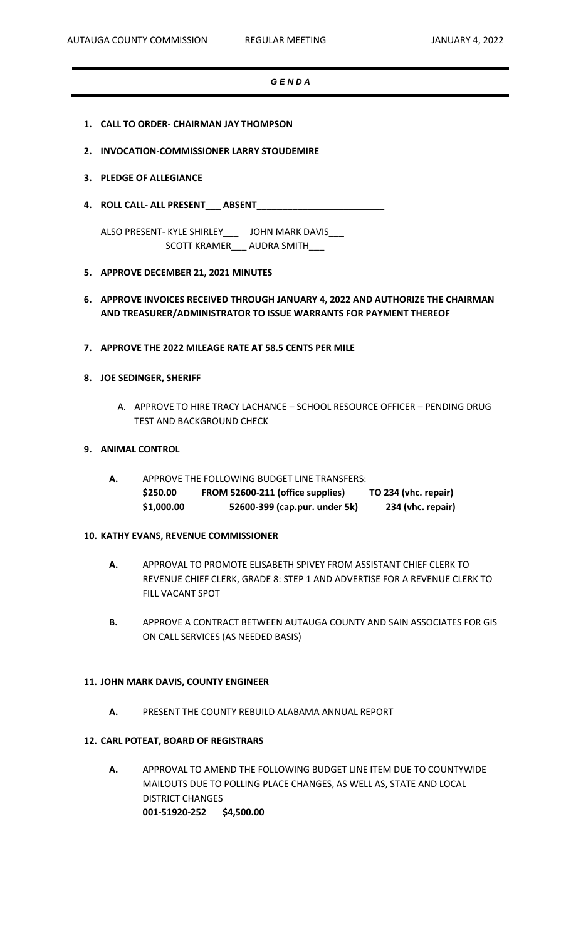## *G E N D A*

- **1. CALL TO ORDER- CHAIRMAN JAY THOMPSON**
- **2. INVOCATION-COMMISSIONER LARRY STOUDEMIRE**
- **3. PLEDGE OF ALLEGIANCE**
- **4. ROLL CALL- ALL PRESENT\_\_\_ ABSENT\_\_\_\_\_\_\_\_\_\_\_\_\_\_\_\_\_\_\_\_\_\_\_\_\_**

ALSO PRESENT- KYLE SHIRLEY\_\_\_ JOHN MARK DAVIS\_\_\_ SCOTT KRAMER\_\_\_ AUDRA SMITH\_\_\_

- **5. APPROVE DECEMBER 21, 2021 MINUTES**
- **6. APPROVE INVOICES RECEIVED THROUGH JANUARY 4, 2022 AND AUTHORIZE THE CHAIRMAN AND TREASURER/ADMINISTRATOR TO ISSUE WARRANTS FOR PAYMENT THEREOF**
- **7. APPROVE THE 2022 MILEAGE RATE AT 58.5 CENTS PER MILE**

## **8. JOE SEDINGER, SHERIFF**

A. APPROVE TO HIRE TRACY LACHANCE – SCHOOL RESOURCE OFFICER – PENDING DRUG TEST AND BACKGROUND CHECK

## **9. ANIMAL CONTROL**

**A.** APPROVE THE FOLLOWING BUDGET LINE TRANSFERS: **\$250.00 FROM 52600-211 (office supplies) TO 234 (vhc. repair) \$1,000.00 52600-399 (cap.pur. under 5k) 234 (vhc. repair)**

## **10. KATHY EVANS, REVENUE COMMISSIONER**

- **A.** APPROVAL TO PROMOTE ELISABETH SPIVEY FROM ASSISTANT CHIEF CLERK TO REVENUE CHIEF CLERK, GRADE 8: STEP 1 AND ADVERTISE FOR A REVENUE CLERK TO FILL VACANT SPOT
- **B.** APPROVE A CONTRACT BETWEEN AUTAUGA COUNTY AND SAIN ASSOCIATES FOR GIS ON CALL SERVICES (AS NEEDED BASIS)

## **11. JOHN MARK DAVIS, COUNTY ENGINEER**

**A.** PRESENT THE COUNTY REBUILD ALABAMA ANNUAL REPORT

# **12. CARL POTEAT, BOARD OF REGISTRARS**

**A.** APPROVAL TO AMEND THE FOLLOWING BUDGET LINE ITEM DUE TO COUNTYWIDE MAILOUTS DUE TO POLLING PLACE CHANGES, AS WELL AS, STATE AND LOCAL DISTRICT CHANGES **001-51920-252 \$4,500.00**